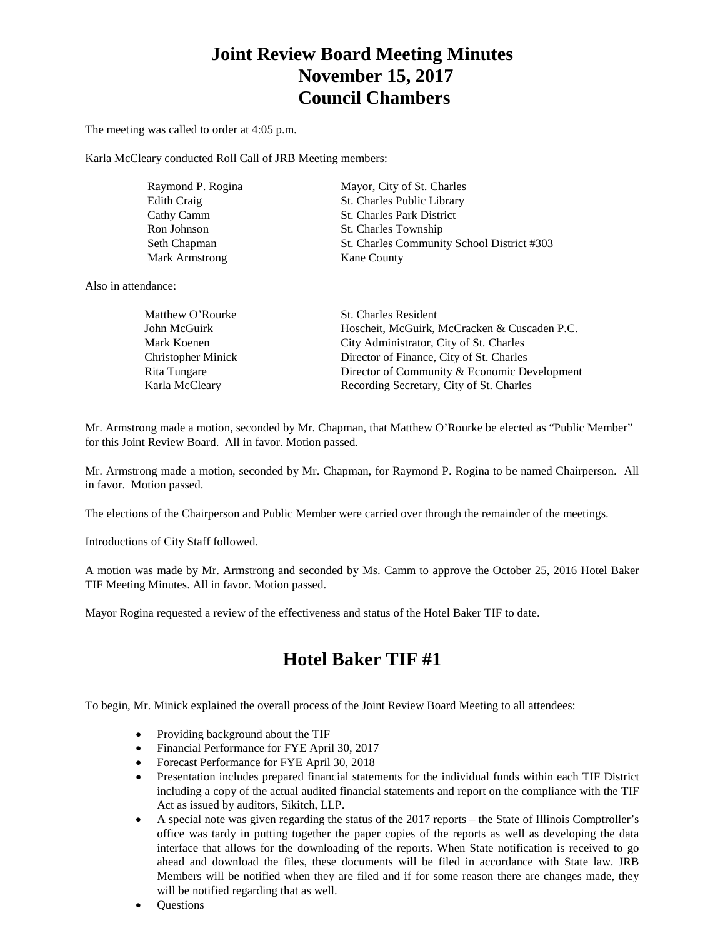# **Joint Review Board Meeting Minutes November 15, 2017 Council Chambers**

The meeting was called to order at 4:05 p.m.

Karla McCleary conducted Roll Call of JRB Meeting members:

| Raymond P. Rogina | Mayor, City of St. Charles                 |
|-------------------|--------------------------------------------|
| Edith Craig       | St. Charles Public Library                 |
| Cathy Camm        | <b>St. Charles Park District</b>           |
| Ron Johnson       | St. Charles Township                       |
| Seth Chapman      | St. Charles Community School District #303 |
| Mark Armstrong    | Kane County                                |

Also in attendance:

| Matthew O'Rourke          | <b>St. Charles Resident</b>                  |
|---------------------------|----------------------------------------------|
| John McGuirk              | Hoscheit, McGuirk, McCracken & Cuscaden P.C. |
| Mark Koenen               | City Administrator, City of St. Charles      |
| <b>Christopher Minick</b> | Director of Finance, City of St. Charles     |
| Rita Tungare              | Director of Community & Economic Development |
| Karla McCleary            | Recording Secretary, City of St. Charles     |

Mr. Armstrong made a motion, seconded by Mr. Chapman, that Matthew O'Rourke be elected as "Public Member" for this Joint Review Board. All in favor. Motion passed.

Mr. Armstrong made a motion, seconded by Mr. Chapman, for Raymond P. Rogina to be named Chairperson. All in favor. Motion passed.

The elections of the Chairperson and Public Member were carried over through the remainder of the meetings.

Introductions of City Staff followed.

A motion was made by Mr. Armstrong and seconded by Ms. Camm to approve the October 25, 2016 Hotel Baker TIF Meeting Minutes. All in favor. Motion passed.

Mayor Rogina requested a review of the effectiveness and status of the Hotel Baker TIF to date.

# **Hotel Baker TIF #1**

To begin, Mr. Minick explained the overall process of the Joint Review Board Meeting to all attendees:

- Providing background about the TIF
- Financial Performance for FYE April 30, 2017
- Forecast Performance for FYE April 30, 2018
- Presentation includes prepared financial statements for the individual funds within each TIF District including a copy of the actual audited financial statements and report on the compliance with the TIF Act as issued by auditors, Sikitch, LLP.
- A special note was given regarding the status of the 2017 reports the State of Illinois Comptroller's office was tardy in putting together the paper copies of the reports as well as developing the data interface that allows for the downloading of the reports. When State notification is received to go ahead and download the files, these documents will be filed in accordance with State law. JRB Members will be notified when they are filed and if for some reason there are changes made, they will be notified regarding that as well.
- Questions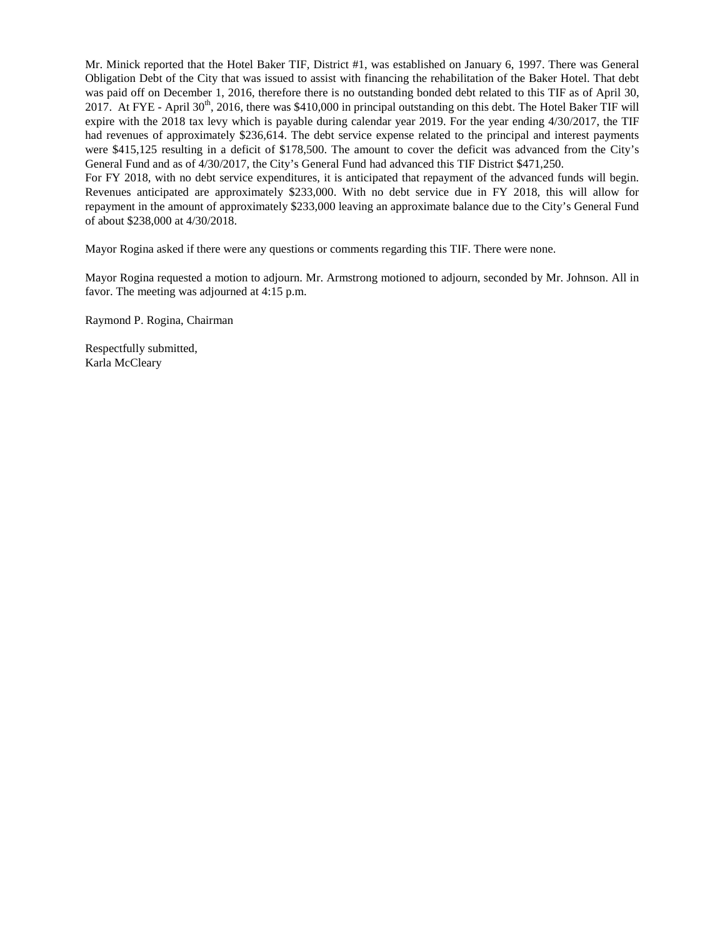Mr. Minick reported that the Hotel Baker TIF, District #1, was established on January 6, 1997. There was General Obligation Debt of the City that was issued to assist with financing the rehabilitation of the Baker Hotel. That debt was paid off on December 1, 2016, therefore there is no outstanding bonded debt related to this TIF as of April 30, 2017. At FYE - April 30<sup>th</sup>, 2016, there was \$410,000 in principal outstanding on this debt. The Hotel Baker TIF will expire with the 2018 tax levy which is payable during calendar year 2019. For the year ending 4/30/2017, the TIF had revenues of approximately \$236,614. The debt service expense related to the principal and interest payments were \$415,125 resulting in a deficit of \$178,500. The amount to cover the deficit was advanced from the City's General Fund and as of 4/30/2017, the City's General Fund had advanced this TIF District \$471,250. For FY 2018, with no debt service expenditures, it is anticipated that repayment of the advanced funds will begin.

Revenues anticipated are approximately \$233,000. With no debt service due in FY 2018, this will allow for repayment in the amount of approximately \$233,000 leaving an approximate balance due to the City's General Fund of about \$238,000 at 4/30/2018.

Mayor Rogina asked if there were any questions or comments regarding this TIF. There were none.

Mayor Rogina requested a motion to adjourn. Mr. Armstrong motioned to adjourn, seconded by Mr. Johnson. All in favor. The meeting was adjourned at 4:15 p.m.

Raymond P. Rogina, Chairman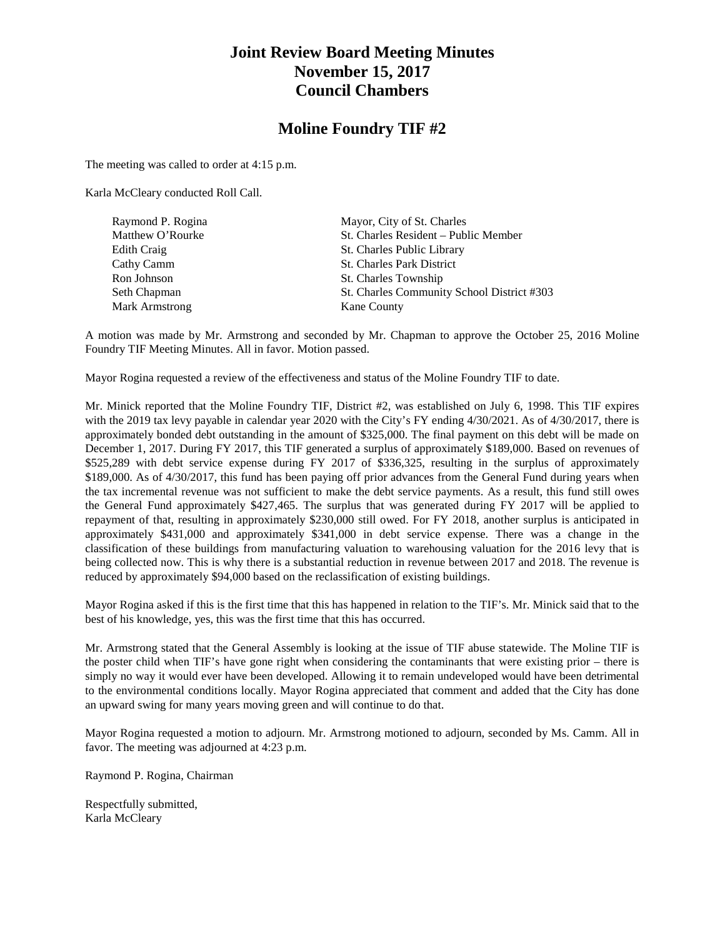## **Joint Review Board Meeting Minutes November 15, 2017 Council Chambers**

### **Moline Foundry TIF #2**

The meeting was called to order at 4:15 p.m.

Karla McCleary conducted Roll Call.

| Raymond P. Rogina     | Mayor, City of St. Charles                 |
|-----------------------|--------------------------------------------|
| Matthew O'Rourke      | St. Charles Resident – Public Member       |
| Edith Craig           | St. Charles Public Library                 |
| Cathy Camm            | <b>St. Charles Park District</b>           |
| Ron Johnson           | St. Charles Township                       |
| Seth Chapman          | St. Charles Community School District #303 |
| <b>Mark Armstrong</b> | Kane County                                |

A motion was made by Mr. Armstrong and seconded by Mr. Chapman to approve the October 25, 2016 Moline Foundry TIF Meeting Minutes. All in favor. Motion passed.

Mayor Rogina requested a review of the effectiveness and status of the Moline Foundry TIF to date.

Mr. Minick reported that the Moline Foundry TIF, District #2, was established on July 6, 1998. This TIF expires with the 2019 tax levy payable in calendar year 2020 with the City's FY ending 4/30/2021. As of 4/30/2017, there is approximately bonded debt outstanding in the amount of \$325,000. The final payment on this debt will be made on December 1, 2017. During FY 2017, this TIF generated a surplus of approximately \$189,000. Based on revenues of \$525,289 with debt service expense during FY 2017 of \$336,325, resulting in the surplus of approximately \$189,000. As of 4/30/2017, this fund has been paying off prior advances from the General Fund during years when the tax incremental revenue was not sufficient to make the debt service payments. As a result, this fund still owes the General Fund approximately \$427,465. The surplus that was generated during FY 2017 will be applied to repayment of that, resulting in approximately \$230,000 still owed. For FY 2018, another surplus is anticipated in approximately \$431,000 and approximately \$341,000 in debt service expense. There was a change in the classification of these buildings from manufacturing valuation to warehousing valuation for the 2016 levy that is being collected now. This is why there is a substantial reduction in revenue between 2017 and 2018. The revenue is reduced by approximately \$94,000 based on the reclassification of existing buildings.

Mayor Rogina asked if this is the first time that this has happened in relation to the TIF's. Mr. Minick said that to the best of his knowledge, yes, this was the first time that this has occurred.

Mr. Armstrong stated that the General Assembly is looking at the issue of TIF abuse statewide. The Moline TIF is the poster child when TIF's have gone right when considering the contaminants that were existing prior – there is simply no way it would ever have been developed. Allowing it to remain undeveloped would have been detrimental to the environmental conditions locally. Mayor Rogina appreciated that comment and added that the City has done an upward swing for many years moving green and will continue to do that.

Mayor Rogina requested a motion to adjourn. Mr. Armstrong motioned to adjourn, seconded by Ms. Camm. All in favor. The meeting was adjourned at 4:23 p.m.

Raymond P. Rogina, Chairman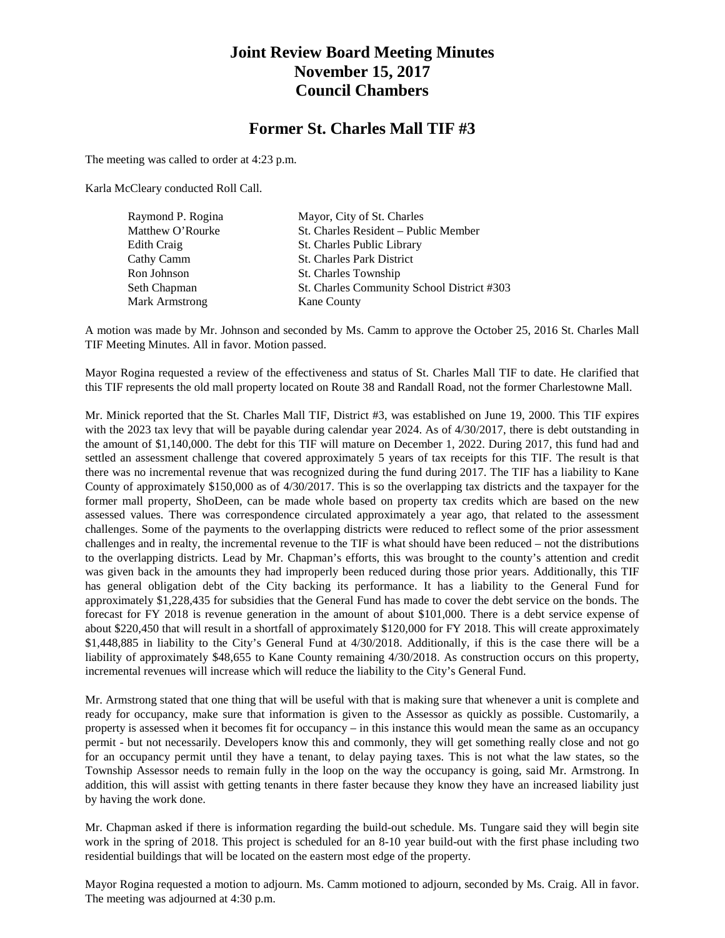## **Joint Review Board Meeting Minutes November 15, 2017 Council Chambers**

#### **Former St. Charles Mall TIF #3**

The meeting was called to order at 4:23 p.m.

Karla McCleary conducted Roll Call.

| Raymond P. Rogina     | Mayor, City of St. Charles                 |
|-----------------------|--------------------------------------------|
| Matthew O'Rourke      | St. Charles Resident – Public Member       |
| Edith Craig           | St. Charles Public Library                 |
| Cathy Camm            | <b>St. Charles Park District</b>           |
| Ron Johnson           | St. Charles Township                       |
| Seth Chapman          | St. Charles Community School District #303 |
| <b>Mark Armstrong</b> | Kane County                                |

A motion was made by Mr. Johnson and seconded by Ms. Camm to approve the October 25, 2016 St. Charles Mall TIF Meeting Minutes. All in favor. Motion passed.

Mayor Rogina requested a review of the effectiveness and status of St. Charles Mall TIF to date. He clarified that this TIF represents the old mall property located on Route 38 and Randall Road, not the former Charlestowne Mall.

Mr. Minick reported that the St. Charles Mall TIF, District #3, was established on June 19, 2000. This TIF expires with the 2023 tax levy that will be payable during calendar year 2024. As of 4/30/2017, there is debt outstanding in the amount of \$1,140,000. The debt for this TIF will mature on December 1, 2022. During 2017, this fund had and settled an assessment challenge that covered approximately 5 years of tax receipts for this TIF. The result is that there was no incremental revenue that was recognized during the fund during 2017. The TIF has a liability to Kane County of approximately \$150,000 as of 4/30/2017. This is so the overlapping tax districts and the taxpayer for the former mall property, ShoDeen, can be made whole based on property tax credits which are based on the new assessed values. There was correspondence circulated approximately a year ago, that related to the assessment challenges. Some of the payments to the overlapping districts were reduced to reflect some of the prior assessment challenges and in realty, the incremental revenue to the TIF is what should have been reduced – not the distributions to the overlapping districts. Lead by Mr. Chapman's efforts, this was brought to the county's attention and credit was given back in the amounts they had improperly been reduced during those prior years. Additionally, this TIF has general obligation debt of the City backing its performance. It has a liability to the General Fund for approximately \$1,228,435 for subsidies that the General Fund has made to cover the debt service on the bonds. The forecast for FY 2018 is revenue generation in the amount of about \$101,000. There is a debt service expense of about \$220,450 that will result in a shortfall of approximately \$120,000 for FY 2018. This will create approximately \$1,448,885 in liability to the City's General Fund at 4/30/2018. Additionally, if this is the case there will be a liability of approximately \$48,655 to Kane County remaining 4/30/2018. As construction occurs on this property, incremental revenues will increase which will reduce the liability to the City's General Fund.

Mr. Armstrong stated that one thing that will be useful with that is making sure that whenever a unit is complete and ready for occupancy, make sure that information is given to the Assessor as quickly as possible. Customarily, a property is assessed when it becomes fit for occupancy – in this instance this would mean the same as an occupancy permit - but not necessarily. Developers know this and commonly, they will get something really close and not go for an occupancy permit until they have a tenant, to delay paying taxes. This is not what the law states, so the Township Assessor needs to remain fully in the loop on the way the occupancy is going, said Mr. Armstrong. In addition, this will assist with getting tenants in there faster because they know they have an increased liability just by having the work done.

Mr. Chapman asked if there is information regarding the build-out schedule. Ms. Tungare said they will begin site work in the spring of 2018. This project is scheduled for an 8-10 year build-out with the first phase including two residential buildings that will be located on the eastern most edge of the property.

Mayor Rogina requested a motion to adjourn. Ms. Camm motioned to adjourn, seconded by Ms. Craig. All in favor. The meeting was adjourned at 4:30 p.m.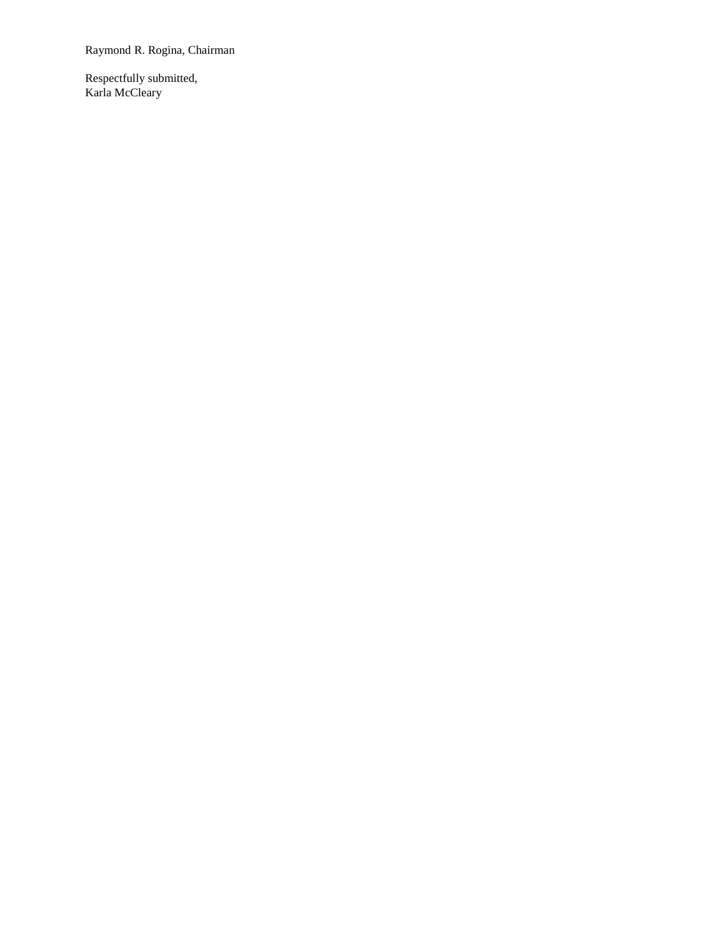Raymond R. Rogina, Chairman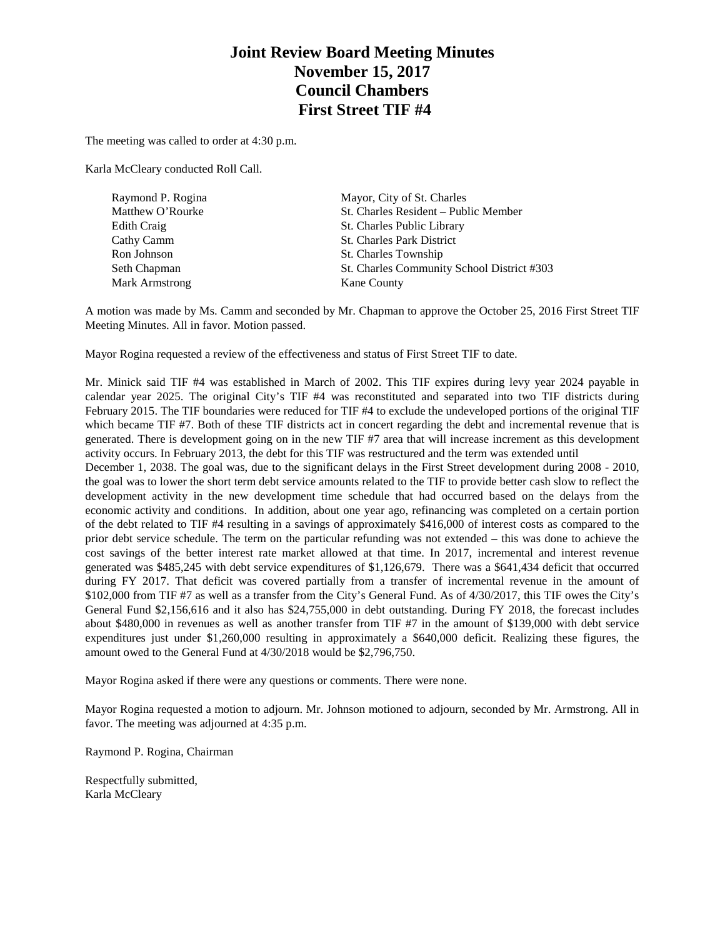# **Joint Review Board Meeting Minutes November 15, 2017 Council Chambers First Street TIF #4**

The meeting was called to order at 4:30 p.m.

Karla McCleary conducted Roll Call.

| Raymond P. Rogina     | Mayor, City of St. Charles                 |
|-----------------------|--------------------------------------------|
| Matthew O'Rourke      | St. Charles Resident – Public Member       |
| Edith Craig           | St. Charles Public Library                 |
| Cathy Camm            | <b>St. Charles Park District</b>           |
| Ron Johnson           | St. Charles Township                       |
| Seth Chapman          | St. Charles Community School District #303 |
| <b>Mark Armstrong</b> | Kane County                                |
|                       |                                            |

A motion was made by Ms. Camm and seconded by Mr. Chapman to approve the October 25, 2016 First Street TIF Meeting Minutes. All in favor. Motion passed.

Mayor Rogina requested a review of the effectiveness and status of First Street TIF to date.

Mr. Minick said TIF #4 was established in March of 2002. This TIF expires during levy year 2024 payable in calendar year 2025. The original City's TIF #4 was reconstituted and separated into two TIF districts during February 2015. The TIF boundaries were reduced for TIF #4 to exclude the undeveloped portions of the original TIF which became TIF #7. Both of these TIF districts act in concert regarding the debt and incremental revenue that is generated. There is development going on in the new TIF #7 area that will increase increment as this development activity occurs. In February 2013, the debt for this TIF was restructured and the term was extended until

December 1, 2038. The goal was, due to the significant delays in the First Street development during 2008 - 2010, the goal was to lower the short term debt service amounts related to the TIF to provide better cash slow to reflect the development activity in the new development time schedule that had occurred based on the delays from the economic activity and conditions. In addition, about one year ago, refinancing was completed on a certain portion of the debt related to TIF #4 resulting in a savings of approximately \$416,000 of interest costs as compared to the prior debt service schedule. The term on the particular refunding was not extended – this was done to achieve the cost savings of the better interest rate market allowed at that time. In 2017, incremental and interest revenue generated was \$485,245 with debt service expenditures of \$1,126,679. There was a \$641,434 deficit that occurred during FY 2017. That deficit was covered partially from a transfer of incremental revenue in the amount of \$102,000 from TIF #7 as well as a transfer from the City's General Fund. As of 4/30/2017, this TIF owes the City's General Fund \$2,156,616 and it also has \$24,755,000 in debt outstanding. During FY 2018, the forecast includes about \$480,000 in revenues as well as another transfer from TIF #7 in the amount of \$139,000 with debt service expenditures just under \$1,260,000 resulting in approximately a \$640,000 deficit. Realizing these figures, the amount owed to the General Fund at 4/30/2018 would be \$2,796,750.

Mayor Rogina asked if there were any questions or comments. There were none.

Mayor Rogina requested a motion to adjourn. Mr. Johnson motioned to adjourn, seconded by Mr. Armstrong. All in favor. The meeting was adjourned at 4:35 p.m.

Raymond P. Rogina, Chairman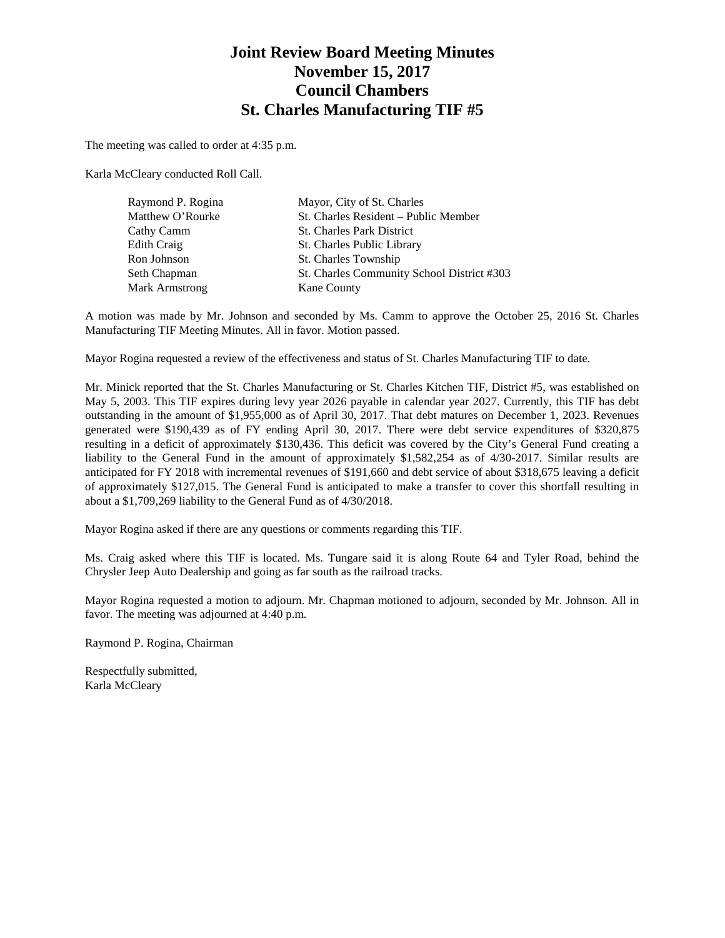## **Joint Review Board Meeting Minutes November 15, 2017 Council Chambers St. Charles Manufacturing TIF #5**

The meeting was called to order at 4:35 p.m.

Karla McCleary conducted Roll Call.

| Raymond P. Rogina     | Mayor, City of St. Charles                 |
|-----------------------|--------------------------------------------|
| Matthew O'Rourke      | St. Charles Resident – Public Member       |
| Cathy Camm            | <b>St. Charles Park District</b>           |
| Edith Craig           | St. Charles Public Library                 |
| Ron Johnson           | St. Charles Township                       |
| Seth Chapman          | St. Charles Community School District #303 |
| <b>Mark Armstrong</b> | <b>Kane County</b>                         |

A motion was made by Mr. Johnson and seconded by Ms. Camm to approve the October 25, 2016 St. Charles Manufacturing TIF Meeting Minutes. All in favor. Motion passed.

Mayor Rogina requested a review of the effectiveness and status of St. Charles Manufacturing TIF to date.

Mr. Minick reported that the St. Charles Manufacturing or St. Charles Kitchen TIF, District #5, was established on May 5, 2003. This TIF expires during levy year 2026 payable in calendar year 2027. Currently, this TIF has debt outstanding in the amount of \$1,955,000 as of April 30, 2017. That debt matures on December 1, 2023. Revenues generated were \$190,439 as of FY ending April 30, 2017. There were debt service expenditures of \$320,875 resulting in a deficit of approximately \$130,436. This deficit was covered by the City's General Fund creating a liability to the General Fund in the amount of approximately \$1,582,254 as of 4/30-2017. Similar results are anticipated for FY 2018 with incremental revenues of \$191,660 and debt service of about \$318,675 leaving a deficit of approximately \$127,015. The General Fund is anticipated to make a transfer to cover this shortfall resulting in about a \$1,709,269 liability to the General Fund as of 4/30/2018.

Mayor Rogina asked if there are any questions or comments regarding this TIF.

Ms. Craig asked where this TIF is located. Ms. Tungare said it is along Route 64 and Tyler Road, behind the Chrysler Jeep Auto Dealership and going as far south as the railroad tracks.

Mayor Rogina requested a motion to adjourn. Mr. Chapman motioned to adjourn, seconded by Mr. Johnson. All in favor. The meeting was adjourned at 4:40 p.m.

Raymond P. Rogina, Chairman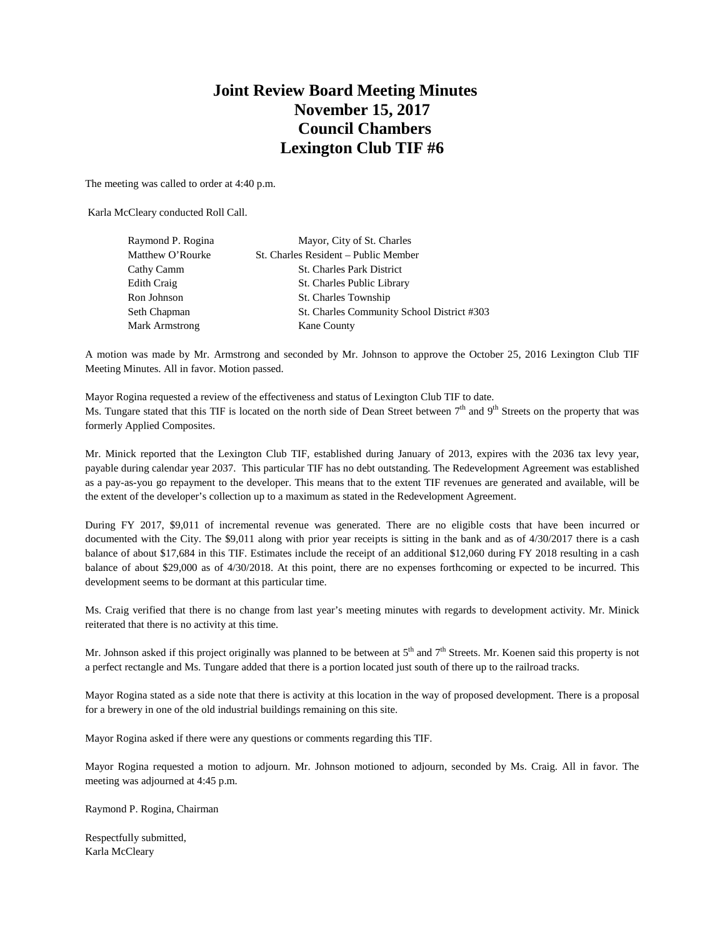# **Joint Review Board Meeting Minutes November 15, 2017 Council Chambers Lexington Club TIF #6**

The meeting was called to order at 4:40 p.m.

Karla McCleary conducted Roll Call.

| Raymond P. Rogina | Mayor, City of St. Charles                 |
|-------------------|--------------------------------------------|
| Matthew O'Rourke  | St. Charles Resident – Public Member       |
| Cathy Camm        | <b>St. Charles Park District</b>           |
| Edith Craig       | St. Charles Public Library                 |
| Ron Johnson       | St. Charles Township                       |
| Seth Chapman      | St. Charles Community School District #303 |
| Mark Armstrong    | <b>Kane County</b>                         |
|                   |                                            |

A motion was made by Mr. Armstrong and seconded by Mr. Johnson to approve the October 25, 2016 Lexington Club TIF Meeting Minutes. All in favor. Motion passed.

Mayor Rogina requested a review of the effectiveness and status of Lexington Club TIF to date. Ms. Tungare stated that this TIF is located on the north side of Dean Street between  $7<sup>th</sup>$  and  $9<sup>th</sup>$  Streets on the property that was formerly Applied Composites.

Mr. Minick reported that the Lexington Club TIF, established during January of 2013, expires with the 2036 tax levy year, payable during calendar year 2037. This particular TIF has no debt outstanding. The Redevelopment Agreement was established as a pay-as-you go repayment to the developer. This means that to the extent TIF revenues are generated and available, will be the extent of the developer's collection up to a maximum as stated in the Redevelopment Agreement.

During FY 2017, \$9,011 of incremental revenue was generated. There are no eligible costs that have been incurred or documented with the City. The \$9,011 along with prior year receipts is sitting in the bank and as of 4/30/2017 there is a cash balance of about \$17,684 in this TIF. Estimates include the receipt of an additional \$12,060 during FY 2018 resulting in a cash balance of about \$29,000 as of 4/30/2018. At this point, there are no expenses forthcoming or expected to be incurred. This development seems to be dormant at this particular time.

Ms. Craig verified that there is no change from last year's meeting minutes with regards to development activity. Mr. Minick reiterated that there is no activity at this time.

Mr. Johnson asked if this project originally was planned to be between at  $5<sup>th</sup>$  and  $7<sup>th</sup>$  Streets. Mr. Koenen said this property is not a perfect rectangle and Ms. Tungare added that there is a portion located just south of there up to the railroad tracks.

Mayor Rogina stated as a side note that there is activity at this location in the way of proposed development. There is a proposal for a brewery in one of the old industrial buildings remaining on this site.

Mayor Rogina asked if there were any questions or comments regarding this TIF.

Mayor Rogina requested a motion to adjourn. Mr. Johnson motioned to adjourn, seconded by Ms. Craig. All in favor. The meeting was adjourned at 4:45 p.m.

Raymond P. Rogina, Chairman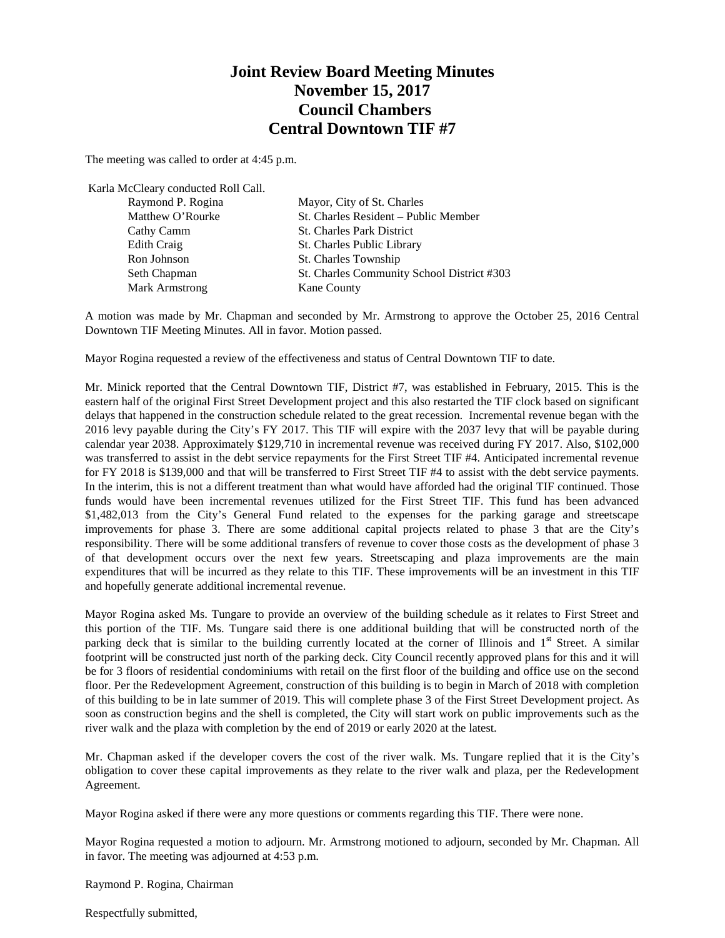## **Joint Review Board Meeting Minutes November 15, 2017 Council Chambers Central Downtown TIF #7**

The meeting was called to order at 4:45 p.m.

| Karla McCleary conducted Roll Call. |                                            |
|-------------------------------------|--------------------------------------------|
| Raymond P. Rogina                   | Mayor, City of St. Charles                 |
| Matthew O'Rourke                    | St. Charles Resident - Public Member       |
| Cathy Camm                          | <b>St. Charles Park District</b>           |
| Edith Craig                         | St. Charles Public Library                 |
| Ron Johnson                         | St. Charles Township                       |
| Seth Chapman                        | St. Charles Community School District #303 |
| <b>Mark Armstrong</b>               | Kane County                                |

A motion was made by Mr. Chapman and seconded by Mr. Armstrong to approve the October 25, 2016 Central Downtown TIF Meeting Minutes. All in favor. Motion passed.

Mayor Rogina requested a review of the effectiveness and status of Central Downtown TIF to date.

Mr. Minick reported that the Central Downtown TIF, District #7, was established in February, 2015. This is the eastern half of the original First Street Development project and this also restarted the TIF clock based on significant delays that happened in the construction schedule related to the great recession. Incremental revenue began with the 2016 levy payable during the City's FY 2017. This TIF will expire with the 2037 levy that will be payable during calendar year 2038. Approximately \$129,710 in incremental revenue was received during FY 2017. Also, \$102,000 was transferred to assist in the debt service repayments for the First Street TIF #4. Anticipated incremental revenue for FY 2018 is \$139,000 and that will be transferred to First Street TIF #4 to assist with the debt service payments. In the interim, this is not a different treatment than what would have afforded had the original TIF continued. Those funds would have been incremental revenues utilized for the First Street TIF. This fund has been advanced \$1,482,013 from the City's General Fund related to the expenses for the parking garage and streetscape improvements for phase 3. There are some additional capital projects related to phase 3 that are the City's responsibility. There will be some additional transfers of revenue to cover those costs as the development of phase 3 of that development occurs over the next few years. Streetscaping and plaza improvements are the main expenditures that will be incurred as they relate to this TIF. These improvements will be an investment in this TIF and hopefully generate additional incremental revenue.

Mayor Rogina asked Ms. Tungare to provide an overview of the building schedule as it relates to First Street and this portion of the TIF. Ms. Tungare said there is one additional building that will be constructed north of the parking deck that is similar to the building currently located at the corner of Illinois and 1<sup>st</sup> Street. A similar footprint will be constructed just north of the parking deck. City Council recently approved plans for this and it will be for 3 floors of residential condominiums with retail on the first floor of the building and office use on the second floor. Per the Redevelopment Agreement, construction of this building is to begin in March of 2018 with completion of this building to be in late summer of 2019. This will complete phase 3 of the First Street Development project. As soon as construction begins and the shell is completed, the City will start work on public improvements such as the river walk and the plaza with completion by the end of 2019 or early 2020 at the latest.

Mr. Chapman asked if the developer covers the cost of the river walk. Ms. Tungare replied that it is the City's obligation to cover these capital improvements as they relate to the river walk and plaza, per the Redevelopment Agreement.

Mayor Rogina asked if there were any more questions or comments regarding this TIF. There were none.

Mayor Rogina requested a motion to adjourn. Mr. Armstrong motioned to adjourn, seconded by Mr. Chapman. All in favor. The meeting was adjourned at 4:53 p.m.

Raymond P. Rogina, Chairman

Respectfully submitted,